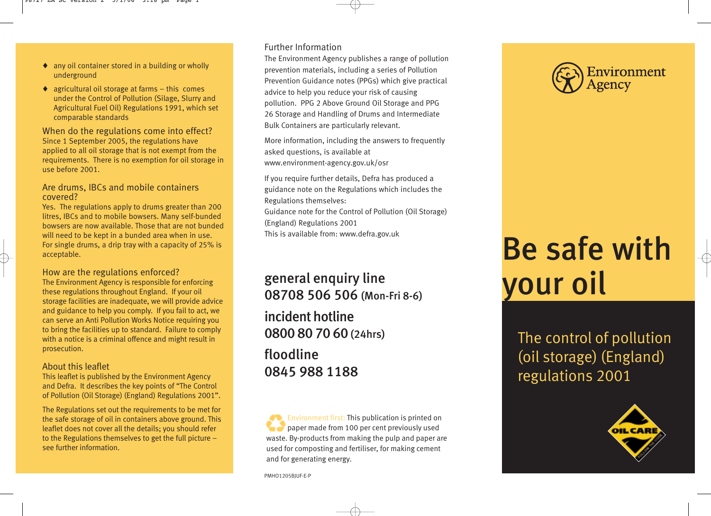- ♦ any oil container stored in a building or wholly underground
- $\bullet$  agricultural oil storage at farms this comes under the Control of Pollution (Silage, Slurry and Agricultural Fuel Oil) Regulations 1991, which set comparable standards

When do the regulations come into effect? Since 1 September 2005, the regulations have applied to all oil storage that is not exempt from the requirements. There is no exemption for oil storage in use before 2001.

#### Are drums, IBCs and mobile containers covered?

Yes. The regulations apply to drums greater than 200 litres, IBCs and to mobile bowsers. Many self-bunded bowsers are now available. Those that are not bunded will need to be kept in a bunded area when in use. For single drums, a drip tray with a capacity of 25% is acceptable.

#### How are the regulations enforced?

The Environment Agency is responsible for enforcing these regulations throughout England. If your oil storage facilities are inadequate, we will provide advice and guidance to help you comply. If you fail to act, we can serve an Anti Pollution Works Notice requiring you to bring the facilities up to standard. Failure to comply with a notice is a criminal offence and might result in prosecution.

#### About this leaflet

This leaflet is published by the Environment Agency and Defra. It describes the key points of "The Control of Pollution (Oil Storage) (England) Regulations 2001".

The Regulations set out the requirements to be met for the safe storage of oil in containers above ground. This leaflet does not cover all the details; you should refer to the Regulations themselves to get the full picture – see further information.

## Further Information

The Environment Agency publishes a range of pollution prevention materials, including a series of Pollution Prevention Guidance notes (PPGs) which give practical advice to help you reduce your risk of causing pollution. PPG 2 Above Ground Oil Storage and PPG 26 Storage and Handling of Drums and Intermediate Bulk Containers are particularly relevant.

More information, including the answers to frequently asked questions, is available at www.environment-agency.gov.uk/osr

If you require further details, Defra has produced a guidance note on the Regulations which includes the Regulations themselves:

Guidance note for the Control of Pollution (Oil Storage) (England) Regulations 2001

This is available from: www.defra.gov.uk

# general enquiry line 08708 506 506 (Mon-Fri 8-6)

incident hotline 0800 80 70 60 (24hrs)

floodline 0845 988 1188

Environment first: This publication is printed on paper made from 100 per cent previously used waste. By-products from making the pulp and paper are used for composting and fertiliser, for making cement and for generating energy.



# Be safe with your oil

The control of pollution (oil storage) (England) regulations 2001